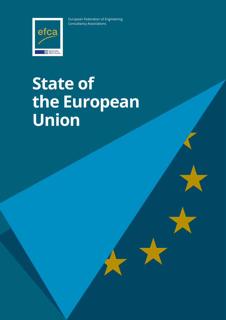

European Federation of Engineering Consultancy Associations

# **State of the European Union**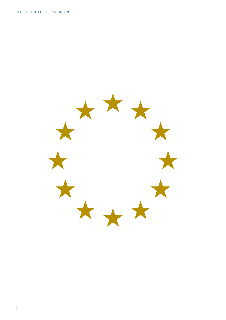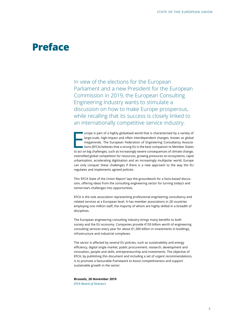### **Preface**

In view of the elections for the European Parliament and a new President for the European Commission in 2019, the European Consulting Engineering Industry wants to stimulate a discussion on how to make Europe prosperous, while recalling that its success is closely linked to an internationally competitive service industry.

Imprope is part of a highly globalised world that is characterised by a variety of large-scale, high-impact and often interdependent changes, known as global megatrends. The European Federation of Engineering Consultancy A urope is part of a highly globalised world that is characterised by a variety of large-scale, high-impact and often interdependent changes, known as global megatrends. The European Federation of Engineering Consultancy Associations (EFCA) believes that a strong EU is the best companion to Member States intensified global competition for resources, growing pressures on ecosystems, rapid urbanisation, accelerating digitisation and an increasingly multipolar world. Europe can only conquer these challenges if there is a new approach to the way the EU regulates and implements agreed policies.

This 'EFCA State of the Union Report' lays the groundwork for a facts-based discussion, offering ideas from the consulting engineering sector for turning today's and tomorrow's challenges into opportunities.

EFCA is the sole association representing professional engineering consultancy and related services at a European level. It has member associations in 28 countries employing one million staff, the majority of whom are highly skilled in a breadth of disciplines.

The European engineering consulting industry brings many benefits to both society and the EU economy. Companies provide €150 billion worth of engineering consulting services every year for about €1,300 billion in investments in buildings, infrastructure and industrial complexes.

The sector is affected by several EU policies, such as sustainability and energy efficiency, digital single market, public procurement, research, development and innovation, people and skills, entrepreneurship and investments. The objective of EFCA, by publishing this document and including a set of urgent recommendations, is to promote a favourable framework to boost competitiveness and support sustainable growth in the sector.

**Brussels, 28 November 2019**  *EFCA Board of Directors*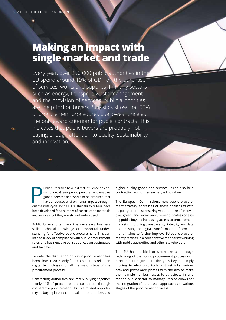# **Making an impact with single market and trade**

Every year, over 250 000 public authorities in the EU spend around 19% of GDP on the purchase of services, works and supplies. In many sectors such as energy, transport, waste management and the provision of services, public authorities are the principal buyers. Statistics show that 55% of procurement procedures use lowest price as the only award criterion for public contracts. This indicates that public buyers are probably not paying enough attention to quality, sustainability and innovation.

ublic authorities have a direct influence on consumption. Green public procurement enables goods, services and works to be procured that have a reduced environmental impact throughout their life-cycle. In the EU, sustainab ublic authorities have a direct influence on consumption. Green public procurement enables goods, services and works to be procured that have a reduced environmental impact throughbeen developed for a number of construction materials and services, but they are still not widely used.

Public buyers often lack the necessary business skills, technical knowledge or procedural understanding for effective public procurement. This can lead to a lack of compliance with public procurement rules and has negative consequences on businesses and taxpayers.

To date, the digitisation of public procurement has been slow. In 2016, only four EU countries relied on digital technologies for all the major steps of the procurement process.

Contracting authorities are rarely buying together – only 11% of procedures are carried out through cooperative procurement. This is a missed opportunity as buying in bulk can result in better prices and higher quality goods and services. It can also help contracting authorities exchange know-how.

The European Commission's new public procurement strategy addresses all these challenges with its policy priorities: ensuring wider uptake of innovative, green, and social procurement; professionalising public buyers; increasing access to procurement markets; improving transparency, integrity and data and boosting the digital transformation of procurement. It aims to further improve EU public procurement practices in a collaborative manner by working with public authorities and other stakeholders.

The EU has decided to undertake a thorough rethinking of the public procurement process with procurement digitisation. This goes beyond simply moving to electronic tools - it rethinks various pre- and post-award phases with the aim to make them simpler for businesses to participate in, and for the public sector to manage. It also allows for the integration of data-based approaches at various stages of the procurement process.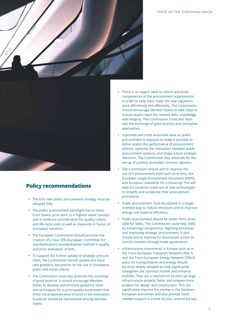



- The EU's new public procurement strategy must be adopted fully.
- The public procurement paradigm has to move from 'lowest price wins' to a 'highest value' concept and to embrace consideration for quality criteria and life-cycle costs as well as measures in favour of innovative solutions.
- The European Commission should promote the creation of a new CEN (European Committee for Standardization) standardisation method in quality and price evaluation of bids.
- To support the further uptake of strategic procurement, the Commission should update and issue new guidance documents on the use of innovative, green and social criteria.
- The Commission must also promote the exchange of good practice. It should encourage Member States to develop and promote guidance, tools and techniques for a price/quality assessment that limits the preponderance of price in the evaluation. Guidance should be harmonised among Member States.
- There is an urgent need to inform and build competences of the procurement organisations in order to help them make the new regulation work effortlessly and effectively. The Commission should encourage Member States to take steps to ensure buyers have the needed skills, knowledge and integrity. The Commission could also facilitate the exchange of good practice and innovative approaches.
- Improved and more accessible data on public procurement is required to make it possible to better assess the performance of procurement policies, optimise the interaction between public procurement systems, and shape future strategic decisions. The Commission may advocate for the set-up of publicly accessible contract registers.
- The Commission should aim to improve the use of e-procurement tools such as eCertis, the European Single Procurement Document (ESPD), and European standards for e-Invoicing. This will help EU countries make use of new technologies to simplify and accelerate their procurement procedures.
- Public procurement must be applied in a targetoriented way to reduce emissions and to improve energy and material efficiency.
- Public procurement should be made more accessible for SMEs. The Commission could help SMEs by enhancing transparency, digitising processes and improving strategic procurement. It also should aim to improve EU businesses' access to non-EU markets through trade agreements.
- Infrastructure investments in Europe such as in the Trans-European Transport Network (TEN-T) and the Trans-European Energy Network (TEN-E) plans for transportation and energy should be more widely adopted as they significantly strengthen the common market and enhance mobility. They are a mechanism to start-up large infrastructure projects faster and prepare more projects for design and construction. This can significantly improve the market in the Southern European economies and also provide much needed support in a time of crisis around Europe.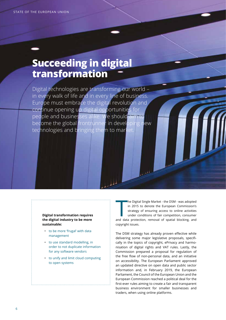## **Succeeding in digital transformation**

Digital technologies are transforming our world – in every walk of life and in every line of business. Europe must embrace the digital revolution and continue opening up digital opportunities for people and businesses alike. We should air become the global frontrunner in developing new technologies and bringing them to market.

#### **Digital transformation requires the digital industry to be more sustainable:**

- to be more 'frugal' with data management
- to use standard modelling, in order to not duplicate information for any software vendors
- to unify and limit cloud computing to open systems

The Digital Single Market - the DSM - was adopted<br>in 2015 to denote the European Commission's<br>strategy of ensuring access to online activities<br>under conditions of fair competition, consumer<br>and data protection, removal of he Digital Single Market - the DSM - was adopted in 2015 to denote the European Commission's strategy of ensuring access to online activities under conditions of fair competition, consumer copyright issues.

The DSM strategy has already proven effective while delivering some major legislative proposals, specifically in the topics of copyright, ePrivacy and harmonisation of digital rights and VAT rules. Lastly, the Commission prepared a proposal for regulation of the free flow of non-personal data, and an initiative on accessibility. The European Parliament approved an updated directive on open data and public sector information and, in February 2019, the European Parliament, the Council of the European Union and the European Commission reached a political deal for the first-ever rules aiming to create a fair and transparent business environment for smaller businesses and traders, when using online platforms.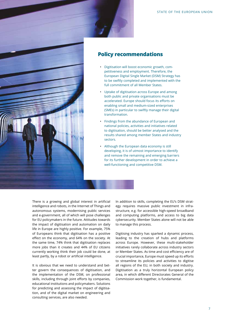

- Digitisation will boost economic growth, competitiveness and employment. Therefore, the European Digital Single Market (DSM) Strategy has to be swiftly completed and implemented with the full commitment of all Member States.
- Uptake of digitisation across Europe and among both public and private organisations must be accelerated. Europe should focus its efforts on enabling small and medium-sized enterprises (SMEs) in particular to swiftly manage their digital transformation.
- Findings from the abundance of European and national policies, activities and initiatives related to digitisation, should be better analysed and the results shared among member States and industry sectors.
- Although the European data economy is still developing, it is of utmost importance to identify and remove the remaining and emerging barriers for its further development in order to achieve a well-functioning and competitive DSM.

There is a growing and global interest in artificial intelligence and robots, in the Internet of Things and autonomous systems, modernising public services and e-government, all of which will pose challenges for EU policymakers in the future. Attitudes towards the impact of digitisation and automation on daily life in Europe are highly positive. For example, 75% of Europeans think that digitisation has a positive effect on the economy, and 64% on the society. At the same time, 74% think that digitisation replaces more jobs than it creates and 44% of EU citizens currently working think their job could be done, at least partly, by a robot or artificial intelligence.

It is obvious that we need to understand and better govern the consequences of digitisation, and the implementation of the DSM, on professional skills, including through joint efforts by companies, educational institutions and policymakers. Solutions for predicting and assessing the impact of digitisation, and of the digital market on engineering and consulting services, are also needed.

In addition to skills, completing the EU's DSM strategy requires massive public investment in infrastructure, e.g. for accessible high-speed broadband and computing platforms, and access to big data cybersecurity. Member States alone will not be able to manage this process.

Digitising industry has sparked a dynamic process, leading to the creation of hubs and platforms across Europe. However, these multi-stakeholder initiatives rarely collaborate across industry sectors or Member States. As time and cost efficiency are of crucial importance, Europe must speed up its efforts to streamline its policies and activities to digitise all regions of the EU, in both society and industry. Digitisation as a truly horizontal European policy area, in which different Directorates General of the Commission work together, is fundamental.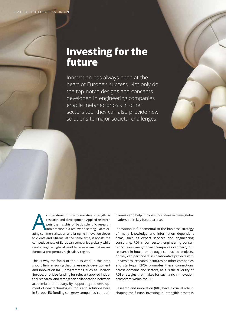### **Investing for the future**

Innovation has always been at the heart of Europe's success. Not only do the top-notch designs and concepts developed in engineering companies enable metamorphosis in other sectors too, they can also provide new solutions to major societal challenges.

cornerstone of this innovative strength is<br>research and development. Applied research<br>puts the insights of basic scientific research<br>into practice in a real-world setting – acceler-<br>ating commercialisation and bringing inn research and development. Applied research puts the insights of basic scientific research into practice in a real-world setting – accelerating commercialisation and bringing innovation closer to clients and citizens. At the same time, it boosts the competitiveness of European companies globally while reinforcing the high-value-added ecosystem that makes Europe a prosperous, high-salary region.

This is why the focus of the EU's work in this area should lie in ensuring that its research, development and innovation (RDI) programmes, such as Horizon Europe, prioritise funding for relevant applied industrial research, and strengthen collaboration between academia and industry. By supporting the development of new technologies, tools and solutions here in Europe, EU funding can grow companies' competitiveness and help Europe's industries achieve global leadership in key future arenas.

Innovation is fundamental to the business strategy of many knowledge and information dependent firms, such as expert services and engineering consulting. RDI in our sector, engineering consultancy, takes many forms: companies can carry out research in-house or through contracted projects, or they can participate in collaborative projects with universities, research institutes or other companies and start-ups. EFCA promotes these connections across domains and sectors, as it is the diversity of RDI strategies that makes for such a rich innovation ecosystem within the EU.

Research and innovation (R&I) have a crucial role in shaping the future. Investing in intangible assets is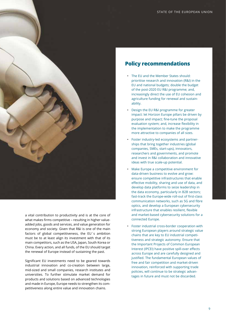

a vital contribution to productivity and is at the core of what makes firms competitive – resulting in higher valueadded jobs, goods and services, and value generation for economy and society. Given that R&I is one of the main factors of global competitiveness, the EU´s ambition must be to at least align its investment with that of its main competitors, such as the USA, Japan, South Korea or China. Every action, and all funds, of the EU should target the renewal of Europe instead of sustaining the past.

Significant EU investments need to be geared towards industrial innovation and co-creation between large, mid-sized and small companies, research institutes and universities. To further stimulate market demand for products and solutions based on advanced technologies and made in Europe, Europe needs to strengthen its competitiveness along entire value and innovation chains.

- The EU and the Member States should: prioritise research and innovation (R&I) in the EU and national budgets; double the budget of the post-2020 EU R&I programme; and, increasingly direct the use of EU cohesion and agriculture funding for renewal and sustainability.
- Design the EU R&I programme for greater impact: let Horizon Europe pillars be driven by purpose and impact; fine-tune the proposal evaluation system; and, increase flexibility in the implementation to make the programme more attractive to companies of all sizes.
- Foster industry-led ecosystems and partnerships that bring together industries (global companies, SMEs, start-ups), innovators, researchers and governments, and promote and invest in R&I collaboration and innovative ideas with true scale-up potential.
- Make Europe a competitive environment for data-driven business to evolve and grow: ensure competitive infrastructures that enable effective mobility, sharing and use of data, and develop data platforms to seize leadership in the data economy, particularly in B2B sectors; fast-track the Europe-wide roll-out of first-class communication networks, such as 5G and fibre optics, and develop a European cybersecurity infrastructure that enables resilient, flexible and market-based cybersecurity solutions for a connected Europe.
- Foster industrial cross-border cooperation with strong European players around strategic value chains that are key to EU industrial competitiveness and strategic autonomy. Ensure that the Important Projects of Common European Interest (IPCEI) have positive spill-over effects across Europe and are carefully designed and justified. The fundamental European values of free and fair competition and market-driven innovation, reinforced with supporting trade policies, will continue to be strategic advantages in future and must not be discarded.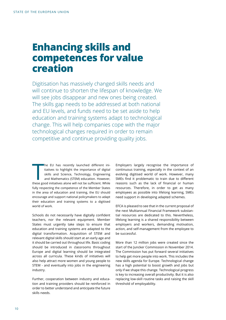# **Enhancing skills and competences for value creation**

Digitisation has massively changed skills needs and will continue to shorten the lifespan of knowledge. We will see jobs disappear and new ones being created. The skills gap needs to be addressed at both national and EU levels, and funds need to be set aside to help education and training systems adapt to technological change. This will help companies cope with the major technological changes required in order to remain competitive and continue providing quality jobs.

The EU has recently launched different initiatives to highlight the importance of digital skills and Science, Technology, Engineering and Mathematics (STEM) education. However, these good initiatives alone will not be suff he EU has recently launched different initiatives to highlight the importance of digital skills and Science, Technology, Engineering and Mathematics (STEM) education. However, fully respecting the competence of the Member States in the area of education and training, the EU should encourage and support national policymakers to adapt their education and training systems to a digitised world of work.

Schools do not necessarily have digitally confident teachers, nor the relevant equipment. Member States must urgently take steps to ensure that education and training systems are adapted to the digital transformation. Acquisition of STEM and relevant digital skills should start at an early age and it should be carried out throughout life. Basic coding should be introduced in classrooms throughout Europe and digital learning should be integrated across all curricula. These kinds of initiatives will also help attract more women and young people to STEM - and eventually into jobs in the engineering industry.

Further, cooperation between industry and education and training providers should be reinforced in order to better understand and anticipate the future skills needs.

Employers largely recognise the importance of continuous training, especially in the context of an evolving digitised world of work. However, many SMEs find it problematic to train due to different reasons such as the lack of financial or human resources. Therefore, in order to get as many employees as possible into lifelong learning, SMEs need support in developing adapted schemes.

EFCA is pleased to see that in the current proposal of the next Multiannual Financial Framework substantial resources are dedicated to this. Nevertheless, lifelong learning is a shared responsibility between employers and workers, demanding motivation, action, and self-management from the employee to be successful.

More than 12 million jobs were created since the start of the Juncker Commission in November 2014. The Commission has put forward several initiatives to help get more people into work. This includes the new skills agenda for Europe. Technological change has a high potential to boost growth and jobs but only if we shape this change. Technological progress is key to increasing overall productivity. But it is also replacing low-skill routine tasks and raising the skill threshold of employability.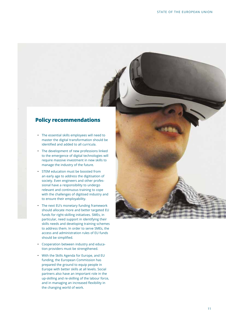- The essential skills employees will need to master the digital transformation should be identified and added to all curricula.
- The development of new professions linked to the emergence of digital technologies will require massive investment in new skills to manage the industry of the future.
- STEM education must be boosted from an early age to address the digitisation of society. Even engineers and other professional have a responsibility to undergo relevant and continuous training to cope with the challenges of digitised industry and to ensure their employability.
- The next EU's monetary funding framework should allocate more and better targeted EU funds for right-skilling initiatives. SMEs, in particular, need support in identifying their skills needs and developing training schemes to address them. In order to serve SMEs, the access and administration rules of EU funds should be simplified.
- Cooperation between industry and education providers must be strengthened.
- With the Skills Agenda for Europe, and EU funding, the European Commission has prepared the ground to equip people in Europe with better skills at all levels. Social partners also have an important role in the up-skilling and re-skilling of the labour force, and in managing an increased flexibility in the changing world of work.

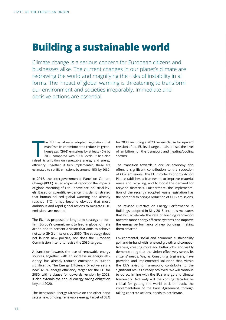# **Building a sustainable world**

Climate change is a serious concern for European citizens and businesses alike. The current changes in our planet's climate are redrawing the world and magnifying the risks of instability in all forms. The impact of global warming is threatening to transform our environment and societies irreparably. Immediate and decisive actions are essential.

The EU has already adopted legislation that<br>manifests its commitment to reduce its green-<br>house gas (GHG) emissions by at least 40% by<br>2030 compared with 1990 levels. It has also<br>raised its ambition on renewable energy and The EU has already adopted legislation that manifests its commitment to reduce its greenhouse gas (GHG) emissions by at least 40% by 2030 compared with 1990 levels. It has also efficiency. Together, if fully implemented, these are estimated to cut EU emissions by around 45% by 2030.

In 2018, the Intergovernmental Panel on Climate Change (IPCC) issued a Special Report on the impacts of global warming of 1.5°C above pre-industrial levels. Based on scientific evidence, this demonstrated that human-induced global warming had already reached 1°C. It has become obvious that more ambitious and rapid global actions to mitigate GHG emissions are needed.

The EU has proposed a long-term strategy to confirm Europe's commitment to lead in global climate action and to present a vision that aims to achieve net-zero GHG emissions by 2050. The strategy does not launch new policies, nor does the European Commission intend to revise the 2030 targets.

A transition towards the use of renewable energy sources, together with an increase in energy efficiency, has already reduced emissions in Europe significantly. The Energy Efficiency Directive sets a new 32.5% energy efficiency target for the EU for 2030, with a clause for upwards revision by 2023. It also extends the annual energy saving obligation beyond 2020.

The Renewable Energy Directive on the other hand sets a new, binding, renewable energy target of 32% for 2030, including a 2023 review clause for upward revision of the EU level target. It also raises the level of ambition for the transport and heating/cooling sectors.

The transition towards a circular economy also offers a significant contribution to the reduction of CO2 emissions. The EU Circular Economy Action Plan establishes a framework to improve material reuse and recycling, and to boost the demand for recycled materials. Furthermore, the implementation of the recently adopted waste legislation has the potential to bring a reduction of GHG emissions.

The revised Directive on Energy Performance in Buildings, adopted in May 2018, includes measures that will accelerate the rate of building renovation towards more energy efficient systems and improve the energy performance of new buildings, making them smarter.

Environmental, social and economic sustainability go hand-in-hand with renewed growth and competitiveness, creating more and better jobs, and visibly demonstrating that the Union effectively serves its citizens' needs. We, as Consulting Engineers, have provided and implemented solutions that, within the EU's existing framework, contribute to the significant results already achieved. We will continue to do so, in line with the EU's energy and climate framework. Not only will the coming decades be critical for getting the world back on track, the implementation of the Paris Agreement, through taking concrete actions, needs to accelerate.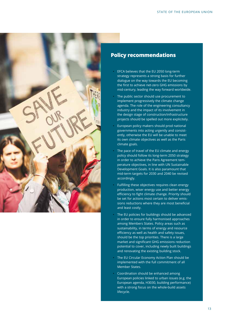

- EFCA believes that the EU 2050 long-term strategy represents a strong basis for further dialogue on the way towards the EU becoming the first to achieve net-zero GHG emissions by mid-century, leading the way forward worldwide.
- The public sector should use procurement to implement progressively the climate change agenda. The role of the engineering consultancy industry and the impact of its involvement in the design stage of construction/infrastructure projects should be spelled out more explicitely.
- European policy makers should prod national governments into acting urgently and consistently, otherwise the EU will be unable to meet its own climate objectives as well as the Paris climate goals.
- The pace of travel of the EU climate and energy policy should follow its long-term 2050 strategy in order to achieve the Paris Agreement temperature objectives, in line with UN Sustainable Development Goals. It is also paramount that mid-term targets for 2030 and 2040 be revised accordingly.
- Fulfilling these objectives requires clean energy production, wiser energy use and better energy efficiency to fight climate change. Priority should be set for actions most certain to deliver emissions reductions where they are most beneficial and least costly.
- The EU policies for buildings should be advanced in order to ensure fully harmonised approaches among Members States. Policy areas such as sustainability, in terms of energy and resource efficiency as well as health and safety issues, should be the top priorities. There is a large market and significant GHG emissions reduction potential to cover, including newly built buildings and renovating the existing building stock.
- The EU Circular Economy Action Plan should be implemented with the full commitment of all Member States.
- Coordination should be enhanced among European policies linked to urban issues (e.g. the European agenda, H3030, building performance) with a strong focus on the whole-build assets lifecycle.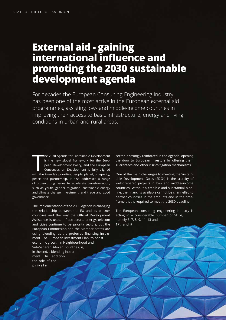# **External aid - gaining international influence and promoting the 2030 sustainable development agenda**

For decades the European Consulting Engineering Industry has been one of the most active in the European external aid programmes, assisting low- and middle-income countries in improving their access to basic infrastructure, energy and living conditions in urban and rural areas.

The 2030 Agenda for Sustainable Development<br>is the new global framework for the Euro-<br>pean Development Policy, and the European<br>Consensus on Development is fully aligned<br>with the Agenda's priorities: people, planet, prospe The 2030 Agenda for Sustainable Development is the new global framework for the European Development Policy, and the European Consensus on Development is fully aligned peace and partnership. It also addresses a range of cross-cutting issues to accelerate transformation, such as youth, gender migration, sustainable energy and climate change, investment, and trade and good governance.

The implementation of the 2030 Agenda is changing the relationship between the EU and its partner countries and the way the Official Development Assistance is used. Infrastructure, energy, telecom and cities continue to be priority sectors, but the European Commission and the Member States are using 'blending' as the preferred financing instrument. The European Investment Plan, to boost economic growth in Neighbourhood and Sub-Saharan African countries, is, in the end, a blending instrument. In addition, the role of the p r i v a t e

sector is strongly reinforced in the Agenda, opening the door to European investors by offering them guarantees and other risk-mitigation mechanisms.

One of the main challenges to meeting the Sustainable Development Goals (SDGs) is the scarcity of well-prepared projects in low- and middle-income countries. Without a credible and substantial pipeline, the financing available cannot be channelled to partner countries in the amounts and in the timeframe that is required to meet the 2030 deadline.

The European consulting engineering industry is acting in a considerable number of SDGs, namely 6, 7, 8, 9, 11, 13 and  $17<sup>1</sup>$ , and it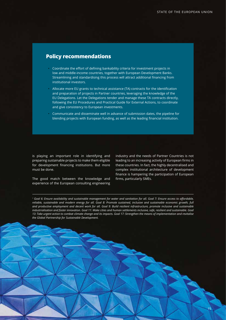- Coordinate the effort of defining bankability criteria for investment projects in low and middle-income countries, together with European Development Banks. Streamlining and standardising this process will attract additional financing from institutional investors.
- Allocate more EU grants to technical assistance (TA) contracts for the identification and preparation of projects in Partner countries, leveraging the knowledge of the EU Delegations. Let the Delegations tender and manage these TA contracts directly, following the EU Procedures and Practical Guide for External Actions, to coordinate and give consistency to European investments.
- Communicate and disseminate well in advance of submission dates, the pipeline for blending projects with European funding, as well as the leading financial institution.

is playing an important role in identifying and preparing sustainable projects to make them eligible for development financing institutions. But more must be done.

The good match between the knowledge and experience of the European consulting engineering

industry and the needs of Partner Countries is not leading to an increasing activity of European firms in these countries. In fact, the highly decentralised and complex institutional architecture of development finance is hampering the participation of European firms, particularly SMEs.

*1 Goal 6: Ensure availability and sustainable management for water and sanitation for all. Goal 7: Ensure access to affordable,*  reliable, sustainable and modern energy for all. Goal 8: Promote sustained, inclusive and sustainable economic growth, full *and productive employment and decent work for all. Goal 9: Build resilient infrastructure, promote inclusive and sustainable industrialisation and foster innovation. Goal 11: Make cities and human settlements inclusive, safe, resilient and sustainable. Goal 13: Take urgent action to combat climate change and its impacts. Goal 17: Strengthen the means of implementation and revitalise the Global Partnership for Sustainable Development.*